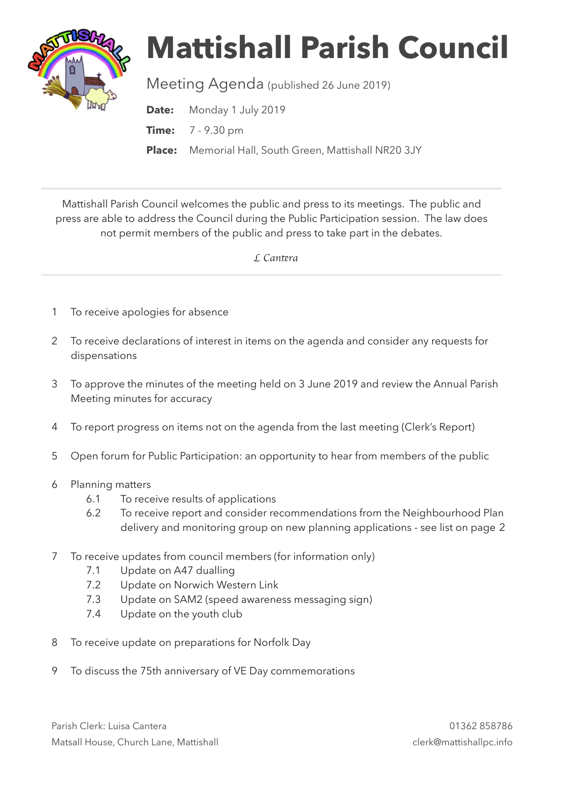

## **Mattishall Parish Council**

Meeting Agenda (published 26 June 2019)

**Date:** Monday 1 July 2019 **Time:** 7 - 9.30 pm **Place:** Memorial Hall, South Green, Mattishall NR20 3JY

Mattishall Parish Council welcomes the public and press to its meetings. The public and press are able to address the Council during the Public Participation session. The law does not permit members of the public and press to take part in the debates.

 *L Can*t*ra* 

- 1 To receive apologies for absence
- 2 To receive declarations of interest in items on the agenda and consider any requests for dispensations
- 3 To approve the minutes of the meeting held on 3 June 2019 and review the Annual Parish Meeting minutes for accuracy
- 4 To report progress on items not on the agenda from the last meeting (Clerk's Report)
- 5 Open forum for Public Participation: an opportunity to hear from members of the public
- 6 Planning matters
	- 6.1 To receive results of applications
	- 6.2 To receive report and consider recommendations from the Neighbourhood Plan delivery and monitoring group on new planning applications - see list on page 2
- 7 To receive updates from council members (for information only)
	- 7.1 Update on A47 dualling
	- 7.2 Update on Norwich Western Link
	- 7.3 Update on SAM2 (speed awareness messaging sign)
	- 7.4 Update on the youth club
- 8 To receive update on preparations for Norfolk Day
- 9 To discuss the 75th anniversary of VE Day commemorations